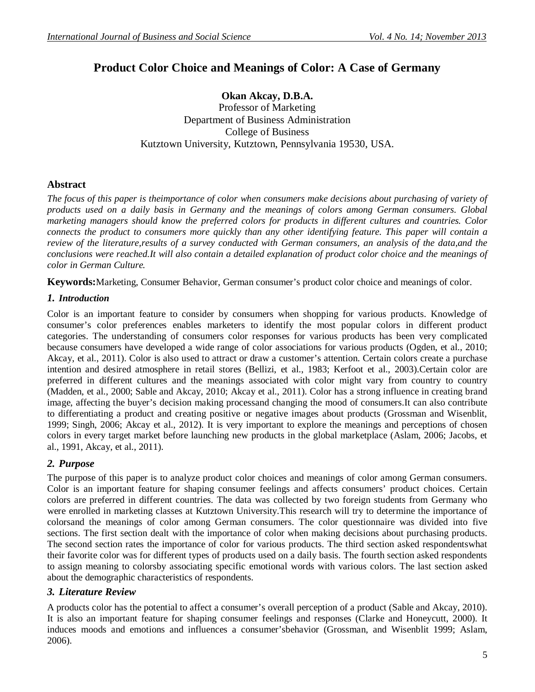# **Product Color Choice and Meanings of Color: A Case of Germany**

**Okan Akcay, D.B.A.** Professor of Marketing Department of Business Administration College of Business Kutztown University, Kutztown, Pennsylvania 19530, USA.

## **Abstract**

*The focus of this paper is theimportance of color when consumers make decisions about purchasing of variety of products used on a daily basis in Germany and the meanings of colors among German consumers. Global marketing managers should know the preferred colors for products in different cultures and countries. Color connects the product to consumers more quickly than any other identifying feature. This paper will contain a review of the literature,results of a survey conducted with German consumers, an analysis of the data,and the conclusions were reached.It will also contain a detailed explanation of product color choice and the meanings of color in German Culture.*

**Keywords:**Marketing, Consumer Behavior, German consumer's product color choice and meanings of color.

### *1. Introduction*

Color is an important feature to consider by consumers when shopping for various products. Knowledge of consumer's color preferences enables marketers to identify the most popular colors in different product categories. The understanding of consumers color responses for various products has been very complicated because consumers have developed a wide range of color associations for various products (Ogden, et al., 2010; Akcay, et al., 2011). Color is also used to attract or draw a customer's attention. Certain colors create a purchase intention and desired atmosphere in retail stores (Bellizi, et al., 1983; Kerfoot et al., 2003).Certain color are preferred in different cultures and the meanings associated with color might vary from country to country (Madden, et al., 2000; Sable and Akcay, 2010; Akcay et al., 2011). Color has a strong influence in creating brand image, affecting the buyer's decision making processand changing the mood of consumers.It can also contribute to differentiating a product and creating positive or negative images about products (Grossman and Wisenblit, 1999; Singh, 2006; Akcay et al., 2012). It is very important to explore the meanings and perceptions of chosen colors in every target market before launching new products in the global marketplace (Aslam, 2006; Jacobs, et al., 1991, Akcay, et al., 2011).

# *2. Purpose*

The purpose of this paper is to analyze product color choices and meanings of color among German consumers. Color is an important feature for shaping consumer feelings and affects consumers' product choices. Certain colors are preferred in different countries. The data was collected by two foreign students from Germany who were enrolled in marketing classes at Kutztown University.This research will try to determine the importance of colorsand the meanings of color among German consumers. The color questionnaire was divided into five sections. The first section dealt with the importance of color when making decisions about purchasing products. The second section rates the importance of color for various products. The third section asked respondentswhat their favorite color was for different types of products used on a daily basis. The fourth section asked respondents to assign meaning to colorsby associating specific emotional words with various colors. The last section asked about the demographic characteristics of respondents.

### *3. Literature Review*

A products color has the potential to affect a consumer's overall perception of a product (Sable and Akcay, 2010). It is also an important feature for shaping consumer feelings and responses (Clarke and Honeycutt, 2000). It induces moods and emotions and influences a consumer'sbehavior (Grossman, and Wisenblit 1999; Aslam, 2006).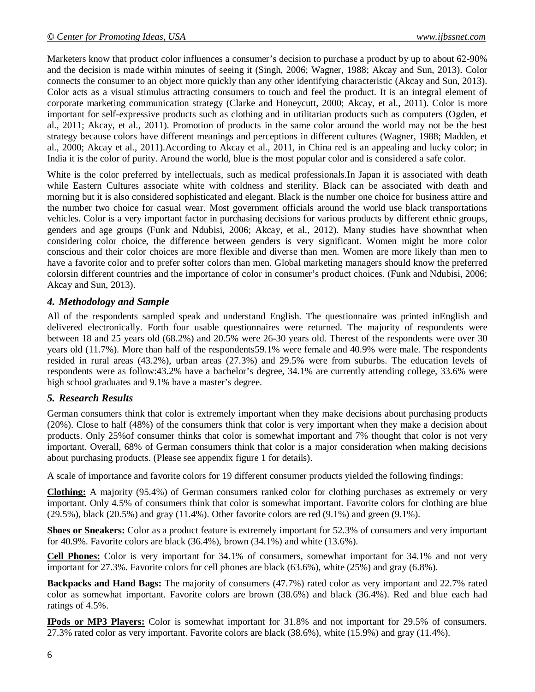Marketers know that product color influences a consumer's decision to purchase a product by up to about 62-90% and the decision is made within minutes of seeing it (Singh, 2006; Wagner, 1988; Akcay and Sun, 2013). Color connects the consumer to an object more quickly than any other identifying characteristic (Akcay and Sun, 2013). Color acts as a visual stimulus attracting consumers to touch and feel the product. It is an integral element of corporate marketing communication strategy (Clarke and Honeycutt, 2000; Akcay, et al., 2011). Color is more important for self-expressive products such as clothing and in utilitarian products such as computers (Ogden, et al., 2011; Akcay, et al., 2011). Promotion of products in the same color around the world may not be the best strategy because colors have different meanings and perceptions in different cultures (Wagner, 1988; Madden, et al., 2000; Akcay et al., 2011).According to Akcay et al., 2011, in China red is an appealing and lucky color; in India it is the color of purity. Around the world, blue is the most popular color and is considered a safe color.

White is the color preferred by intellectuals, such as medical professionals.In Japan it is associated with death while Eastern Cultures associate white with coldness and sterility. Black can be associated with death and morning but it is also considered sophisticated and elegant. Black is the number one choice for business attire and the number two choice for casual wear. Most government officials around the world use black transportations vehicles. Color is a very important factor in purchasing decisions for various products by different ethnic groups, genders and age groups (Funk and Ndubisi, 2006; Akcay, et al., 2012). Many studies have shownthat when considering color choice, the difference between genders is very significant. Women might be more color conscious and their color choices are more flexible and diverse than men. Women are more likely than men to have a favorite color and to prefer softer colors than men. Global marketing managers should know the preferred colorsin different countries and the importance of color in consumer's product choices. (Funk and Ndubisi, 2006; Akcay and Sun, 2013).

# *4. Methodology and Sample*

All of the respondents sampled speak and understand English. The questionnaire was printed inEnglish and delivered electronically. Forth four usable questionnaires were returned. The majority of respondents were between 18 and 25 years old (68.2%) and 20.5% were 26-30 years old. Therest of the respondents were over 30 years old (11.7%). More than half of the respondents59.1% were female and 40.9% were male. The respondents resided in rural areas (43.2%), urban areas (27.3%) and 29.5% were from suburbs. The education levels of respondents were as follow:43.2% have a bachelor's degree, 34.1% are currently attending college, 33.6% were high school graduates and 9.1% have a master's degree.

# *5. Research Results*

German consumers think that color is extremely important when they make decisions about purchasing products (20%). Close to half (48%) of the consumers think that color is very important when they make a decision about products. Only 25%of consumer thinks that color is somewhat important and 7% thought that color is not very important. Overall, 68% of German consumers think that color is a major consideration when making decisions about purchasing products. (Please see appendix figure 1 for details).

A scale of importance and favorite colors for 19 different consumer products yielded the following findings:

**Clothing:** A majority (95.4%) of German consumers ranked color for clothing purchases as extremely or very important. Only 4.5% of consumers think that color is somewhat important. Favorite colors for clothing are blue  $(29.5\%)$ , black  $(20.5\%)$  and gray  $(11.4\%)$ . Other favorite colors are red  $(9.1\%)$  and green  $(9.1\%)$ .

**Shoes or Sneakers:** Color as a product feature is extremely important for 52.3% of consumers and very important for 40.9%. Favorite colors are black (36.4%), brown (34.1%) and white (13.6%).

**Cell Phones:** Color is very important for 34.1% of consumers, somewhat important for 34.1% and not very important for 27.3%. Favorite colors for cell phones are black (63.6%), white (25%) and gray (6.8%).

**Backpacks and Hand Bags:** The majority of consumers (47.7%) rated color as very important and 22.7% rated color as somewhat important. Favorite colors are brown (38.6%) and black (36.4%). Red and blue each had ratings of 4.5%.

**IPods or MP3 Players:** Color is somewhat important for 31.8% and not important for 29.5% of consumers. 27.3% rated color as very important. Favorite colors are black (38.6%), white (15.9%) and gray (11.4%).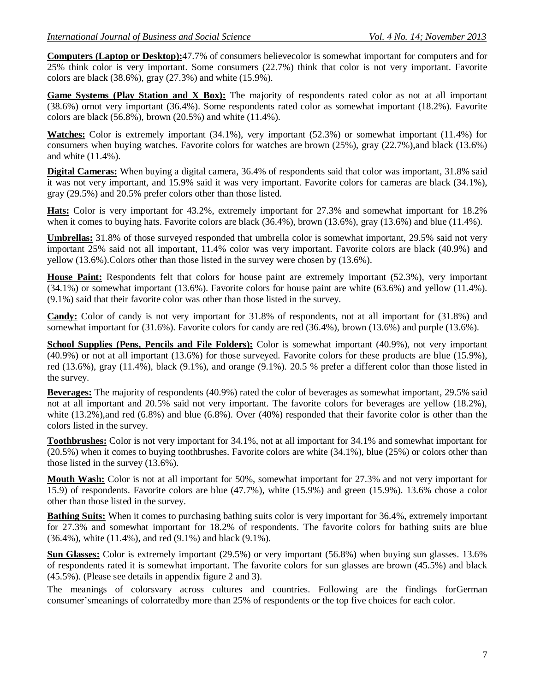**Computers (Laptop or Desktop):**47.7% of consumers believecolor is somewhat important for computers and for 25% think color is very important. Some consumers (22.7%) think that color is not very important. Favorite colors are black (38.6%), gray (27.3%) and white (15.9%).

**Game Systems (Play Station and X Box):** The majority of respondents rated color as not at all important (38.6%) ornot very important (36.4%). Some respondents rated color as somewhat important (18.2%). Favorite colors are black (56.8%), brown (20.5%) and white (11.4%).

**Watches:** Color is extremely important (34.1%), very important (52.3%) or somewhat important (11.4%) for consumers when buying watches. Favorite colors for watches are brown (25%), gray (22.7%),and black (13.6%) and white (11.4%).

**Digital Cameras:** When buying a digital camera, 36.4% of respondents said that color was important, 31.8% said it was not very important, and 15.9% said it was very important. Favorite colors for cameras are black (34.1%), gray (29.5%) and 20.5% prefer colors other than those listed.

**Hats:** Color is very important for 43.2%, extremely important for 27.3% and somewhat important for 18.2% when it comes to buying hats. Favorite colors are black (36.4%), brown (13.6%), gray (13.6%) and blue (11.4%).

**Umbrellas:** 31.8% of those surveyed responded that umbrella color is somewhat important, 29.5% said not very important 25% said not all important, 11.4% color was very important. Favorite colors are black (40.9%) and yellow (13.6%).Colors other than those listed in the survey were chosen by (13.6%).

**House Paint:** Respondents felt that colors for house paint are extremely important (52.3%), very important (34.1%) or somewhat important (13.6%). Favorite colors for house paint are white (63.6%) and yellow (11.4%). (9.1%) said that their favorite color was other than those listed in the survey.

**Candy:** Color of candy is not very important for 31.8% of respondents, not at all important for (31.8%) and somewhat important for (31.6%). Favorite colors for candy are red (36.4%), brown (13.6%) and purple (13.6%).

**School Supplies (Pens, Pencils and File Folders):** Color is somewhat important (40.9%), not very important (40.9%) or not at all important (13.6%) for those surveyed. Favorite colors for these products are blue (15.9%), red (13.6%), gray (11.4%), black (9.1%), and orange (9.1%). 20.5 % prefer a different color than those listed in the survey.

**Beverages:** The majority of respondents (40.9%) rated the color of beverages as somewhat important, 29.5% said not at all important and 20.5% said not very important. The favorite colors for beverages are yellow (18.2%), white (13.2%),and red (6.8%) and blue (6.8%). Over (40%) responded that their favorite color is other than the colors listed in the survey.

**Toothbrushes:** Color is not very important for 34.1%, not at all important for 34.1% and somewhat important for (20.5%) when it comes to buying toothbrushes. Favorite colors are white (34.1%), blue (25%) or colors other than those listed in the survey (13.6%).

**Mouth Wash:** Color is not at all important for 50%, somewhat important for 27.3% and not very important for 15.9) of respondents. Favorite colors are blue (47.7%), white (15.9%) and green (15.9%). 13.6% chose a color other than those listed in the survey.

**Bathing Suits:** When it comes to purchasing bathing suits color is very important for 36.4%, extremely important for 27.3% and somewhat important for 18.2% of respondents. The favorite colors for bathing suits are blue (36.4%), white (11.4%), and red (9.1%) and black (9.1%).

**Sun Glasses:** Color is extremely important (29.5%) or very important (56.8%) when buying sun glasses. 13.6% of respondents rated it is somewhat important. The favorite colors for sun glasses are brown (45.5%) and black (45.5%). (Please see details in appendix figure 2 and 3).

The meanings of colorsvary across cultures and countries. Following are the findings forGerman consumer'smeanings of colorratedby more than 25% of respondents or the top five choices for each color.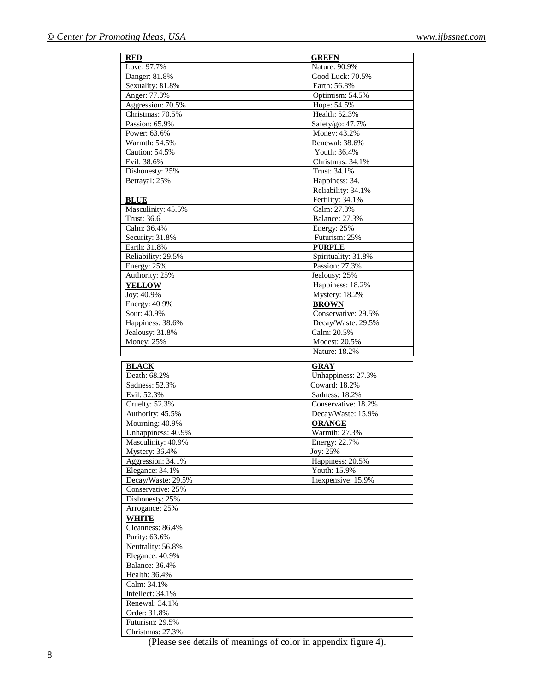| <b>RED</b>            | <b>GREEN</b>          |
|-----------------------|-----------------------|
| Love: 97.7%           | Nature: 90.9%         |
| Danger: 81.8%         | Good Luck: 70.5%      |
| Sexuality: 81.8%      | Earth: 56.8%          |
| Anger: 77.3%          | Optimism: 54.5%       |
| Aggression: 70.5%     | Hope: 54.5%           |
| Christmas: 70.5%      | Health: 52.3%         |
| Passion: 65.9%        | Safety/go: 47.7%      |
| Power: 63.6%          | Money: 43.2%          |
| Warmth: $54.5%$       | Renewal: 38.6%        |
| Caution: 54.5%        | Youth: 36.4%          |
| Evil: 38.6%           | Christmas: 34.1%      |
| Dishonesty: 25%       | Trust: 34.1%          |
| Betrayal: 25%         | Happiness: 34.        |
|                       | Reliability: 34.1%    |
| <b>BLUE</b>           | Fertility: 34.1%      |
| Masculinity: 45.5%    | Calm: 27.3%           |
| Trust: 36.6           | <b>Balance: 27.3%</b> |
| Calm: 36.4%           | Energy: 25%           |
| Security: 31.8%       | Futurism: 25%         |
| Earth: 31.8%          | <b>PURPLE</b>         |
| Reliability: 29.5%    | Spirituality: 31.8%   |
| Energy: 25%           | Passion: 27.3%        |
| Authority: 25%        | Jealousy: 25%         |
| <b>YELLOW</b>         | Happiness: 18.2%      |
| Joy: 40.9%            | Mystery: 18.2%        |
| Energy: 40.9%         | <b>BROWN</b>          |
| Sour: 40.9%           | Conservative: 29.5%   |
| Happiness: 38.6%      | Decay/Waste: 29.5%    |
| Jealousy: 31.8%       | Calm: 20.5%           |
| <b>Money: 25%</b>     | Modest: 20.5%         |
|                       | Nature: 18.2%         |
| <b>BLACK</b>          | <b>GRAY</b>           |
| Death: 68.2%          | Unhappiness: 27.3%    |
| Sadness: 52.3%        | Coward: 18.2%         |
| Evil: 52.3%           | Sadness: 18.2%        |
| Cruelty: 52.3%        | Conservative: 18.2%   |
| Authority: 45.5%      | Decay/Waste: 15.9%    |
| Mourning: 40.9%       | <b>ORANGE</b>         |
| Unhappiness: 40.9%    | Warmth: 27.3%         |
| Masculinity: 40.9%    | Energy: 22.7%         |
| Mystery: 36.4%        | Joy: 25%              |
| Aggression: 34.1%     | Happiness: 20.5%      |
| Elegance: 34.1%       | Youth: 15.9%          |
| Decay/Waste: 29.5%    | Inexpensive: 15.9%    |
| Conservative: 25%     |                       |
| Dishonesty: 25%       |                       |
| Arrogance: 25%        |                       |
| <b>WHITE</b>          |                       |
| Cleanness: 86.4%      |                       |
| Purity: 63.6%         |                       |
| Neutrality: 56.8%     |                       |
| Elegance: 40.9%       |                       |
| <b>Balance: 36.4%</b> |                       |
| Health: 36.4%         |                       |
| Calm: 34.1%           |                       |
| Intellect: 34.1%      |                       |
| Renewal: 34.1%        |                       |
| Order: 31.8%          |                       |
| Futurism: 29.5%       |                       |
| Christmas: 27.3%      |                       |

(Please see details of meanings of color in appendix figure 4).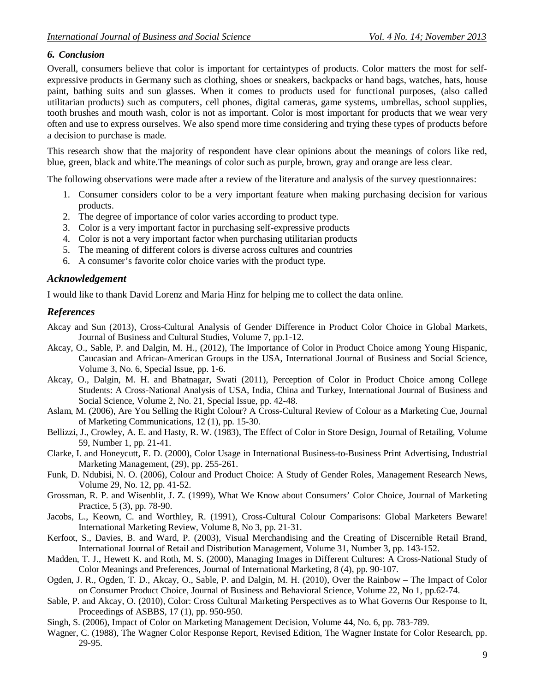## *6. Conclusion*

Overall, consumers believe that color is important for certaintypes of products. Color matters the most for selfexpressive products in Germany such as clothing, shoes or sneakers, backpacks or hand bags, watches, hats, house paint, bathing suits and sun glasses. When it comes to products used for functional purposes, (also called utilitarian products) such as computers, cell phones, digital cameras, game systems, umbrellas, school supplies, tooth brushes and mouth wash, color is not as important. Color is most important for products that we wear very often and use to express ourselves. We also spend more time considering and trying these types of products before a decision to purchase is made.

This research show that the majority of respondent have clear opinions about the meanings of colors like red, blue, green, black and white.The meanings of color such as purple, brown, gray and orange are less clear.

The following observations were made after a review of the literature and analysis of the survey questionnaires:

- 1. Consumer considers color to be a very important feature when making purchasing decision for various products.
- 2. The degree of importance of color varies according to product type.
- 3. Color is a very important factor in purchasing self-expressive products
- 4. Color is not a very important factor when purchasing utilitarian products
- 5. The meaning of different colors is diverse across cultures and countries
- 6. A consumer's favorite color choice varies with the product type.

### *Acknowledgement*

I would like to thank David Lorenz and Maria Hinz for helping me to collect the data online.

### *References*

- Akcay and Sun (2013), Cross-Cultural Analysis of Gender Difference in Product Color Choice in Global Markets, Journal of Business and Cultural Studies, Volume 7, pp.1-12.
- Akcay, O., Sable, P. and Dalgin, M. H., (2012), The Importance of Color in Product Choice among Young Hispanic, Caucasian and African-American Groups in the USA, International Journal of Business and Social Science, Volume 3, No. 6, Special Issue, pp. 1-6.
- Akcay, O., Dalgin, M. H. and Bhatnagar, Swati (2011), Perception of Color in Product Choice among College Students: A Cross-National Analysis of USA, India, China and Turkey, International Journal of Business and Social Science, Volume 2, No. 21, Special Issue, pp. 42-48.
- Aslam, M. (2006), Are You Selling the Right Colour? A Cross-Cultural Review of Colour as a Marketing Cue, Journal of Marketing Communications, 12 (1), pp. 15-30.
- Bellizzi, J., Crowley, A. E. and Hasty, R. W. (1983), The Effect of Color in Store Design, Journal of Retailing, Volume 59, Number 1, pp. 21-41.
- Clarke, I. and Honeycutt, E. D. (2000), Color Usage in International Business-to-Business Print Advertising, Industrial Marketing Management, (29), pp. 255-261.
- Funk, D. Ndubisi, N. O. (2006), Colour and Product Choice: A Study of Gender Roles, Management Research News, Volume 29, No. 12, pp. 41-52.
- Grossman, R. P. and Wisenblit, J. Z. (1999), What We Know about Consumers' Color Choice, Journal of Marketing Practice, 5 (3), pp. 78-90.
- Jacobs, L., Keown, C. and Worthley, R. (1991), Cross-Cultural Colour Comparisons: Global Marketers Beware! International Marketing Review, Volume 8, No 3, pp. 21-31.
- Kerfoot, S., Davies, B. and Ward, P. (2003), Visual Merchandising and the Creating of Discernible Retail Brand, International Journal of Retail and Distribution Management, Volume 31, Number 3, pp. 143-152.
- Madden, T. J., Hewett K. and Roth, M. S. (2000), Managing Images in Different Cultures: A Cross-National Study of Color Meanings and Preferences, Journal of International Marketing, 8 (4), pp. 90-107.
- Ogden, J. R., Ogden, T. D., Akcay, O., Sable, P. and Dalgin, M. H. (2010), Over the Rainbow The Impact of Color on Consumer Product Choice, Journal of Business and Behavioral Science, Volume 22, No 1, pp.62-74.
- Sable, P. and Akcay, O. (2010), Color: Cross Cultural Marketing Perspectives as to What Governs Our Response to It, Proceedings of ASBBS, 17 (1), pp. 950-950.
- Singh, S. (2006), Impact of Color on Marketing Management Decision, Volume 44, No. 6, pp. 783-789.
- Wagner, C. (1988), The Wagner Color Response Report, Revised Edition, The Wagner Instate for Color Research, pp. 29-95.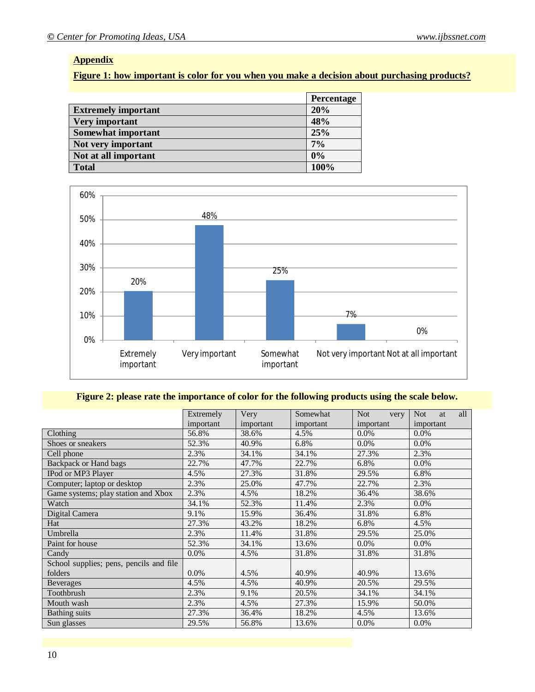## **Appendix**

# **Figure 1: how important is color for you when you make a decision about purchasing products?**

|                            | <b>Percentage</b> |
|----------------------------|-------------------|
| <b>Extremely important</b> | 20%               |
| <b>Very important</b>      | 48%               |
| <b>Somewhat important</b>  | 25%               |
| Not very important         | 7%                |
| Not at all important       | 0%                |
| <b>Total</b>               | 100%              |



## **Figure 2: please rate the importance of color for the following products using the scale below.**

|                                         | Extremely | Very      | Somewhat  | <b>Not</b><br>very | all<br><b>Not</b><br>at |
|-----------------------------------------|-----------|-----------|-----------|--------------------|-------------------------|
|                                         | important | important | important | important          | important               |
| Clothing                                | 56.8%     | 38.6%     | 4.5%      | $0.0\%$            | $0.0\%$                 |
| Shoes or sneakers                       | 52.3%     | 40.9%     | 6.8%      | $0.0\%$            | 0.0%                    |
| Cell phone                              | 2.3%      | 34.1%     | 34.1%     | 27.3%              | 2.3%                    |
| Backpack or Hand bags                   | 22.7%     | 47.7%     | 22.7%     | 6.8%               | $0.0\%$                 |
| IPod or MP3 Player                      | 4.5%      | 27.3%     | 31.8%     | 29.5%              | 6.8%                    |
| Computer; laptop or desktop             | 2.3%      | 25.0%     | 47.7%     | 22.7%              | 2.3%                    |
| Game systems; play station and Xbox     | 2.3%      | 4.5%      | 18.2%     | 36.4%              | 38.6%                   |
| Watch                                   | 34.1%     | 52.3%     | 11.4%     | 2.3%               | 0.0%                    |
| Digital Camera                          | 9.1%      | 15.9%     | 36.4%     | 31.8%              | 6.8%                    |
| Hat                                     | 27.3%     | 43.2%     | 18.2%     | 6.8%               | 4.5%                    |
| Umbrella                                | 2.3%      | 11.4%     | 31.8%     | 29.5%              | 25.0%                   |
| Paint for house                         | 52.3%     | 34.1%     | 13.6%     | $0.0\%$            | $0.0\%$                 |
| Candy                                   | $0.0\%$   | 4.5%      | 31.8%     | 31.8%              | 31.8%                   |
| School supplies; pens, pencils and file |           |           |           |                    |                         |
| folders                                 | $0.0\%$   | 4.5%      | 40.9%     | 40.9%              | 13.6%                   |
| <b>Beverages</b>                        | 4.5%      | 4.5%      | 40.9%     | 20.5%              | 29.5%                   |
| Toothbrush                              | 2.3%      | 9.1%      | 20.5%     | 34.1%              | 34.1%                   |
| Mouth wash                              | 2.3%      | 4.5%      | 27.3%     | 15.9%              | 50.0%                   |
| <b>Bathing</b> suits                    | 27.3%     | 36.4%     | 18.2%     | 4.5%               | 13.6%                   |
| Sun glasses                             | 29.5%     | 56.8%     | 13.6%     | $0.0\%$            | $0.0\%$                 |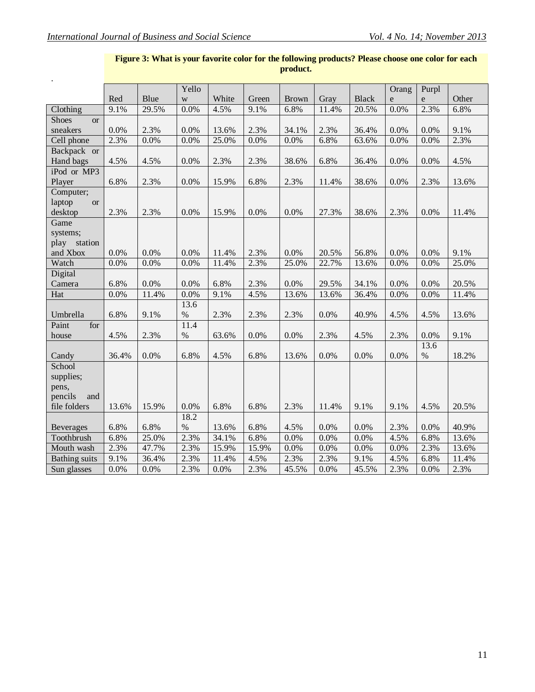|                           |       |       | Yello |       |       |              |       |              | Orang       | Purpl |       |
|---------------------------|-------|-------|-------|-------|-------|--------------|-------|--------------|-------------|-------|-------|
|                           | Red   | Blue  | W     | White | Green | <b>Brown</b> | Gray  | <b>Black</b> | $\mathbf e$ | e     | Other |
| Clothing                  | 9.1%  | 29.5% | 0.0%  | 4.5%  | 9.1%  | 6.8%         | 11.4% | 20.5%        | 0.0%        | 2.3%  | 6.8%  |
| <b>Shoes</b><br><b>or</b> |       |       |       |       |       |              |       |              |             |       |       |
| sneakers                  | 0.0%  | 2.3%  | 0.0%  | 13.6% | 2.3%  | 34.1%        | 2.3%  | 36.4%        | 0.0%        | 0.0%  | 9.1%  |
| Cell phone                | 2.3%  | 0.0%  | 0.0%  | 25.0% | 0.0%  | 0.0%         | 6.8%  | 63.6%        | 0.0%        | 0.0%  | 2.3%  |
| Backpack or               |       |       |       |       |       |              |       |              |             |       |       |
| Hand bags                 | 4.5%  | 4.5%  | 0.0%  | 2.3%  | 2.3%  | 38.6%        | 6.8%  | 36.4%        | 0.0%        | 0.0%  | 4.5%  |
| iPod or MP3               |       |       |       |       |       |              |       |              |             |       |       |
| Player                    | 6.8%  | 2.3%  | 0.0%  | 15.9% | 6.8%  | 2.3%         | 11.4% | 38.6%        | 0.0%        | 2.3%  | 13.6% |
| Computer;                 |       |       |       |       |       |              |       |              |             |       |       |
| laptop<br><b>or</b>       |       |       |       |       |       |              |       |              |             |       |       |
| desktop                   | 2.3%  | 2.3%  | 0.0%  | 15.9% | 0.0%  | 0.0%         | 27.3% | 38.6%        | 2.3%        | 0.0%  | 11.4% |
| Game                      |       |       |       |       |       |              |       |              |             |       |       |
| systems;                  |       |       |       |       |       |              |       |              |             |       |       |
| play station              |       |       |       |       |       |              |       |              |             |       |       |
| and Xbox                  | 0.0%  | 0.0%  | 0.0%  | 11.4% | 2.3%  | $0.0\%$      | 20.5% | 56.8%        | 0.0%        | 0.0%  | 9.1%  |
| Watch                     | 0.0%  | 0.0%  | 0.0%  | 11.4% | 2.3%  | 25.0%        | 22.7% | 13.6%        | 0.0%        | 0.0%  | 25.0% |
| Digital                   |       |       |       |       |       |              |       |              |             |       |       |
| Camera                    | 6.8%  | 0.0%  | 0.0%  | 6.8%  | 2.3%  | 0.0%         | 29.5% | 34.1%        | 0.0%        | 0.0%  | 20.5% |
| Hat                       | 0.0%  | 11.4% | 0.0%  | 9.1%  | 4.5%  | 13.6%        | 13.6% | 36.4%        | 0.0%        | 0.0%  | 11.4% |
|                           |       |       | 13.6  |       |       |              |       |              |             |       |       |
| Umbrella                  | 6.8%  | 9.1%  | $\%$  | 2.3%  | 2.3%  | 2.3%         | 0.0%  | 40.9%        | 4.5%        | 4.5%  | 13.6% |
| Paint<br>for              |       |       | 11.4  |       |       |              |       |              |             |       |       |
| house                     | 4.5%  | 2.3%  | $\%$  | 63.6% | 0.0%  | 0.0%         | 2.3%  | 4.5%         | 2.3%        | 0.0%  | 9.1%  |
|                           |       |       |       |       |       |              |       |              |             | 13.6  |       |
| Candy                     | 36.4% | 0.0%  | 6.8%  | 4.5%  | 6.8%  | 13.6%        | 0.0%  | 0.0%         | 0.0%        | $\%$  | 18.2% |
| School                    |       |       |       |       |       |              |       |              |             |       |       |
| supplies;                 |       |       |       |       |       |              |       |              |             |       |       |
| pens,                     |       |       |       |       |       |              |       |              |             |       |       |
| pencils<br>and            |       |       |       |       |       |              |       |              |             |       |       |
| file folders              | 13.6% | 15.9% | 0.0%  | 6.8%  | 6.8%  | 2.3%         | 11.4% | 9.1%         | 9.1%        | 4.5%  | 20.5% |
|                           |       |       | 18.2  |       |       |              |       |              |             |       |       |
| <b>Beverages</b>          | 6.8%  | 6.8%  | $\%$  | 13.6% | 6.8%  | 4.5%         | 0.0%  | 0.0%         | 2.3%        | 0.0%  | 40.9% |
| Toothbrush                | 6.8%  | 25.0% | 2.3%  | 34.1% | 6.8%  | 0.0%         | 0.0%  | 0.0%         | 4.5%        | 6.8%  | 13.6% |
| Mouth wash                | 2.3%  | 47.7% | 2.3%  | 15.9% | 15.9% | 0.0%         | 0.0%  | 0.0%         | 0.0%        | 2.3%  | 13.6% |
| <b>Bathing suits</b>      | 9.1%  | 36.4% | 2.3%  | 11.4% | 4.5%  | 2.3%         | 2.3%  | 9.1%         | 4.5%        | 6.8%  | 11.4% |
| Sun glasses               | 0.0%  | 0.0%  | 2.3%  | 0.0%  | 2.3%  | 45.5%        | 0.0%  | 45.5%        | 2.3%        | 0.0%  | 2.3%  |

#### **Figure 3: What is your favorite color for the following products? Please choose one color for each product.**